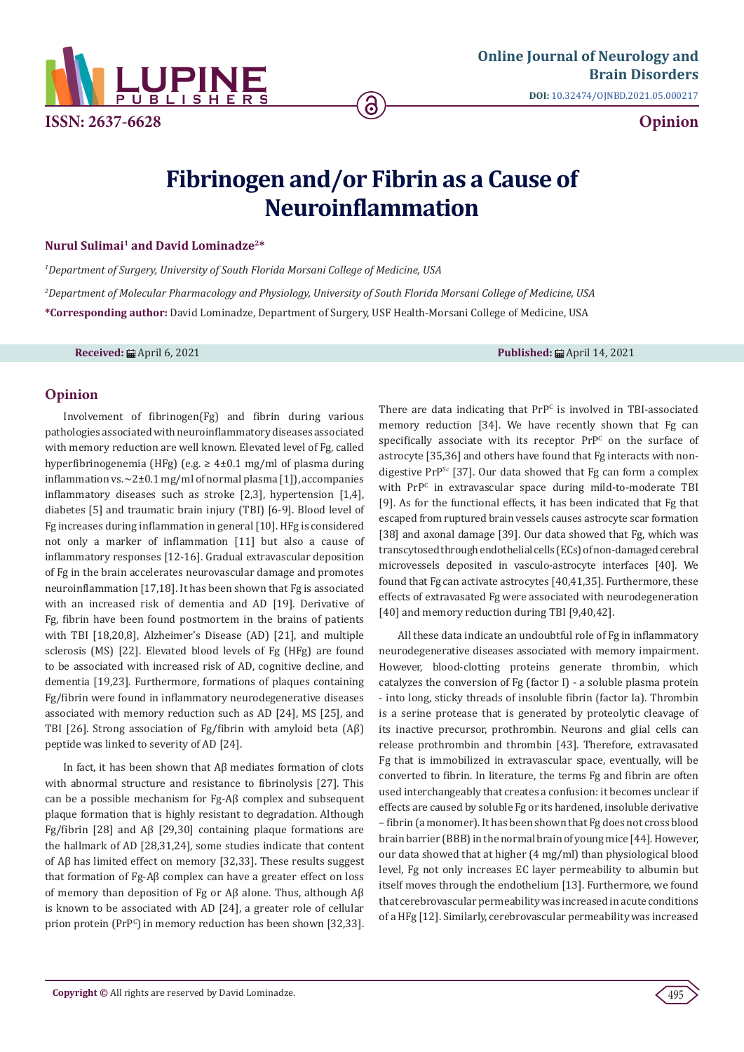

# **Fibrinogen and/or Fibrin as a Cause of Neuroinflammation**

#### **Nurul Sulimai<sup>1</sup> and David Lominadze2\***

*1 Department of Surgery, University of South Florida Morsani College of Medicine, USA 2 Department of Molecular Pharmacology and Physiology, University of South Florida Morsani College of Medicine, USA* **\*Corresponding author:** David Lominadze, Department of Surgery, USF Health-Morsani College of Medicine, USA

**Received:** April 6, 2021 **Published:** April 14, 2021

### **Opinion**

Involvement of fibrinogen(Fg) and fibrin during various pathologies associated with neuroinflammatory diseases associated with memory reduction are well known. Elevated level of Fg, called hyperfibrinogenemia (HFg) (e.g.  $\geq 4\pm 0.1$  mg/ml of plasma during inflammation vs. $\sim$ 2 $\pm$ 0.1 mg/ml of normal plasma [1]), accompanies inflammatory diseases such as stroke [2,3], hypertension [1,4], diabetes [5] and traumatic brain injury (TBI) [6-9]. Blood level of Fg increases during inflammation in general [10]. HFg is considered not only a marker of inflammation [11] but also a cause of inflammatory responses [12-16]. Gradual extravascular deposition of Fg in the brain accelerates neurovascular damage and promotes neuroinflammation [17,18]. It has been shown that Fg is associated with an increased risk of dementia and AD [19]. Derivative of Fg, fibrin have been found postmortem in the brains of patients with TBI [18,20,8], Alzheimer's Disease (AD) [21], and multiple sclerosis (MS) [22]. Elevated blood levels of Fg (HFg) are found to be associated with increased risk of AD, cognitive decline, and dementia [19,23]. Furthermore, formations of plaques containing Fg/fibrin were found in inflammatory neurodegenerative diseases associated with memory reduction such as AD [24], MS [25], and TBI [26]. Strong association of Fg/fibrin with amyloid beta (Aβ) peptide was linked to severity of AD [24].

In fact, it has been shown that Aβ mediates formation of clots with abnormal structure and resistance to fibrinolysis [27]. This can be a possible mechanism for Fg-Aβ complex and subsequent plaque formation that is highly resistant to degradation. Although Fg/fibrin [28] and Aβ [29,30] containing plaque formations are the hallmark of AD [28,31,24], some studies indicate that content of Aβ has limited effect on memory [32,33]. These results suggest that formation of Fg-Aβ complex can have a greater effect on loss of memory than deposition of Fg or Aβ alone. Thus, although Aβ is known to be associated with AD [24], a greater role of cellular prion protein (PrP<sup>C</sup> ) in memory reduction has been shown [32,33]. There are data indicating that  $Pr^{pc}$  is involved in TBI-associated memory reduction [34]. We have recently shown that Fg can  $s$  pecifically associate with its receptor  $PrP<sup>c</sup>$  on the surface of astrocyte [35,36] and others have found that Fg interacts with nondigestive PrP<sup>Sc</sup> [37]. Our data showed that Fg can form a complex with PrP<sup>C</sup> in extravascular space during mild-to-moderate TBI [9]. As for the functional effects, it has been indicated that Fg that escaped from ruptured brain vessels causes astrocyte scar formation [38] and axonal damage [39]. Our data showed that Fg, which was transcytosed through endothelial cells (ECs) of non-damaged cerebral microvessels deposited in vasculo-astrocyte interfaces [40]. We found that Fg can activate astrocytes [40,41,35]. Furthermore, these effects of extravasated Fg were associated with neurodegeneration [40] and memory reduction during TBI [9,40,42].

All these data indicate an undoubtful role of Fg in inflammatory neurodegenerative diseases associated with memory impairment. However, blood-clotting proteins generate thrombin, which catalyzes the conversion of Fg (factor I) - a soluble plasma protein - into long, sticky threads of insoluble fibrin (factor Ia). Thrombin is a serine protease that is generated by proteolytic cleavage of its inactive precursor, prothrombin. Neurons and glial cells can release prothrombin and thrombin [43]. Therefore, extravasated Fg that is immobilized in extravascular space, eventually, will be converted to fibrin. In literature, the terms Fg and fibrin are often used interchangeably that creates a confusion: it becomes unclear if effects are caused by soluble Fg or its hardened, insoluble derivative – fibrin (a monomer). It has been shown that Fg does not cross blood brain barrier (BBB) in the normal brain of young mice [44]. However, our data showed that at higher (4 mg/ml) than physiological blood level, Fg not only increases EC layer permeability to albumin but itself moves through the endothelium [13]. Furthermore, we found that cerebrovascular permeability was increased in acute conditions of a HFg [12]. Similarly, cerebrovascular permeability was increased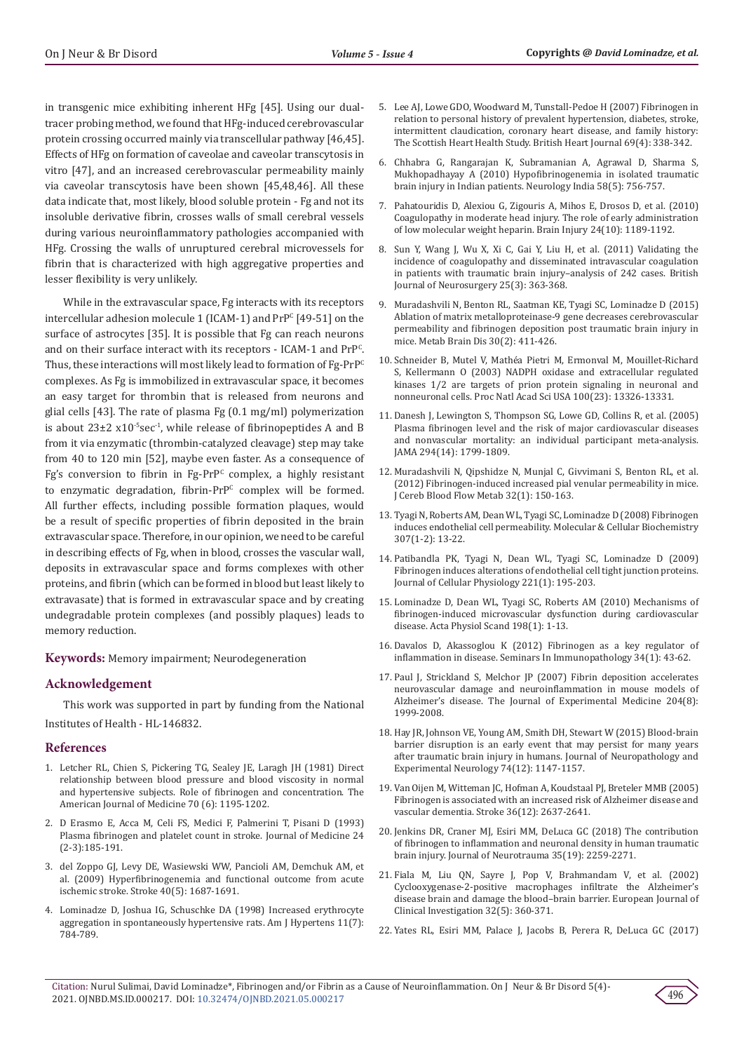in transgenic mice exhibiting inherent HFg [45]. Using our dualtracer probing method, we found that HFg-induced cerebrovascular protein crossing occurred mainly via transcellular pathway [46,45]. Effects of HFg on formation of caveolae and caveolar transcytosis in vitro [47], and an increased cerebrovascular permeability mainly via caveolar transcytosis have been shown [45,48,46]. All these data indicate that, most likely, blood soluble protein - Fg and not its insoluble derivative fibrin, crosses walls of small cerebral vessels during various neuroinflammatory pathologies accompanied with HFg. Crossing the walls of unruptured cerebral microvessels for fibrin that is characterized with high aggregative properties and lesser flexibility is very unlikely.

While in the extravascular space, Fg interacts with its receptors intercellular adhesion molecule  $1$  (ICAM-1) and  $PrP^{c}[49-51]$  on the surface of astrocytes [35]. It is possible that Fg can reach neurons and on their surface interact with its receptors -  $ICAM-1$  and  $PrP^C$ . Thus, these interactions will most likely lead to formation of Fg-PrP<sup>C</sup> complexes. As Fg is immobilized in extravascular space, it becomes an easy target for thrombin that is released from neurons and glial cells [43]. The rate of plasma Fg (0.1 mg/ml) polymerization is about  $23\pm2 \times 10^{-5}$ sec<sup>-1</sup>, while release of fibrinopeptides A and B from it via enzymatic (thrombin-catalyzed cleavage) step may take from 40 to 120 min [52], maybe even faster. As a consequence of Fg's conversion to fibrin in Fg-PrP<sup>c</sup> complex, a highly resistant to enzymatic degradation, fibrin-PrP<sup>c</sup> complex will be formed. All further effects, including possible formation plaques, would be a result of specific properties of fibrin deposited in the brain extravascular space. Therefore, in our opinion, we need to be careful in describing effects of Fg, when in blood, crosses the vascular wall, deposits in extravascular space and forms complexes with other proteins, and fibrin (which can be formed in blood but least likely to extravasate) that is formed in extravascular space and by creating undegradable protein complexes (and possibly plaques) leads to memory reduction.

**Keywords:** Memory impairment; Neurodegeneration

## **Acknowledgement**

This work was supported in part by funding from the National Institutes of Health - HL-146832.

#### **References**

- 1. [Letcher RL, Chien S, Pickering TG, Sealey JE, Laragh JH \(1981\) Direct](https://pubmed.ncbi.nlm.nih.gov/7234890/)  [relationship between blood pressure and blood viscosity in normal](https://pubmed.ncbi.nlm.nih.gov/7234890/)  [and hypertensive subjects. Role of fibrinogen and concentration. The](https://pubmed.ncbi.nlm.nih.gov/7234890/)  [American Journal of Medicine 70 \(6\): 1195-1202.](https://pubmed.ncbi.nlm.nih.gov/7234890/)
- 2. [D Erasmo E, Acca M, Celi FS, Medici F, Palmerini T, Pisani D \(1993\)](https://pubmed.ncbi.nlm.nih.gov/8409781/)  [Plasma fibrinogen and platelet count in stroke. Journal of Medicine 24](https://pubmed.ncbi.nlm.nih.gov/8409781/)  [\(2-3\):185-191.](https://pubmed.ncbi.nlm.nih.gov/8409781/)
- 3. [del Zoppo GJ, Levy DE, Wasiewski WW, Pancioli AM, Demchuk AM, et](https://pubmed.ncbi.nlm.nih.gov/19299642/)  [al. \(2009\) Hyperfibrinogenemia and functional outcome from acute](https://pubmed.ncbi.nlm.nih.gov/19299642/)  [ischemic stroke. Stroke 40\(5\): 1687-1691.](https://pubmed.ncbi.nlm.nih.gov/19299642/)
- 4. Lominadze D, Joshua IG, Schuschke DA (1998) Increased erythrocyte aggregation in spontaneously hypertensive rats. Am J Hypertens 11(7): 784-789.
- 5. [Lee AJ, Lowe GDO, Woodward M, Tunstall-Pedoe H \(2007\) Fibrinogen in](https://pubmed.ncbi.nlm.nih.gov/8489866/) [relation to personal history of prevalent hypertension, diabetes, stroke,](https://pubmed.ncbi.nlm.nih.gov/8489866/) [intermittent claudication, coronary heart disease, and family history:](https://pubmed.ncbi.nlm.nih.gov/8489866/) [The Scottish Heart Health Study. British Heart Journal 69\(4\): 338-342.](https://pubmed.ncbi.nlm.nih.gov/8489866/)
- 6. [Chhabra G, Rangarajan K, Subramanian A, Agrawal D, Sharma S,](https://pubmed.ncbi.nlm.nih.gov/21045504/) [Mukhopadhayay A \(2010\) Hypofibrinogenemia in isolated traumatic](https://pubmed.ncbi.nlm.nih.gov/21045504/) [brain injury in Indian patients. Neurology India 58\(5\): 756-757.](https://pubmed.ncbi.nlm.nih.gov/21045504/)
- 7. [Pahatouridis D, Alexiou G, Zigouris A, Mihos E, Drosos D, et al. \(2010\)](file:///C:/Users/Admin/Desktop/PDFS/14-04-2021/OJNBD.MS.ID.000217/OJNBD-21-OP-221_SI/OJNBD-21-OP-221_SI/v) [Coagulopathy in moderate head injury. The role of early administration](file:///C:/Users/Admin/Desktop/PDFS/14-04-2021/OJNBD.MS.ID.000217/OJNBD-21-OP-221_SI/OJNBD-21-OP-221_SI/v) [of low molecular weight heparin. Brain Injury 24\(10\): 1189-1192.](file:///C:/Users/Admin/Desktop/PDFS/14-04-2021/OJNBD.MS.ID.000217/OJNBD-21-OP-221_SI/OJNBD-21-OP-221_SI/v)
- 8. [Sun Y, Wang J, Wu X, Xi C, Gai Y, Liu H, et al. \(2011\) Validating the](https://pubmed.ncbi.nlm.nih.gov/21355766/) [incidence of coagulopathy and disseminated intravascular coagulation](https://pubmed.ncbi.nlm.nih.gov/21355766/) [in patients with traumatic brain injury–analysis of 242 cases. British](https://pubmed.ncbi.nlm.nih.gov/21355766/) [Journal of Neurosurgery 25\(3\): 363-368.](https://pubmed.ncbi.nlm.nih.gov/21355766/)
- 9. [Muradashvili N, Benton RL, Saatman KE, Tyagi SC, Lominadze D \(2015\)](https://pubmed.ncbi.nlm.nih.gov/24771110/) [Ablation of matrix metalloproteinase-9 gene decreases cerebrovascular](https://pubmed.ncbi.nlm.nih.gov/24771110/) [permeability and fibrinogen deposition post traumatic brain injury in](https://pubmed.ncbi.nlm.nih.gov/24771110/) [mice. Metab Brain Dis 30\(2\): 411-426.](https://pubmed.ncbi.nlm.nih.gov/24771110/)
- 10. [Schneider B, Mutel V, Mathéa Pietri M, Ermonval M, Mouillet-Richard](https://pubmed.ncbi.nlm.nih.gov/14597699/) [S, Kellermann O \(2003\) NADPH oxidase and extracellular regulated](https://pubmed.ncbi.nlm.nih.gov/14597699/) [kinases 1/2 are targets of prion protein signaling in neuronal and](https://pubmed.ncbi.nlm.nih.gov/14597699/) [nonneuronal cells. Proc Natl Acad Sci USA 100\(23\): 13326-13331.](https://pubmed.ncbi.nlm.nih.gov/14597699/)
- 11. [Danesh J, Lewington S, Thompson SG, Lowe GD, Collins R, et al. \(2005\)](https://pubmed.ncbi.nlm.nih.gov/16219884/) [Plasma fibrinogen level and the risk of major cardiovascular diseases](https://pubmed.ncbi.nlm.nih.gov/16219884/) [and nonvascular mortality: an individual participant meta-analysis.](https://pubmed.ncbi.nlm.nih.gov/16219884/) [JAMA 294\(14\): 1799-1809.](https://pubmed.ncbi.nlm.nih.gov/16219884/)
- 12. Muradashvili N, Qipshidze N, Munjal C, Givvimani S, Benton RL, et al. (2012) Fibrinogen-induced increased pial venular permeability in mice. J Cereb Blood Flow Metab 32(1): 150-163.
- 13. [Tyagi N, Roberts AM, Dean WL, Tyagi SC, Lominadze D \(2008\) Fibrinogen](https://pubmed.ncbi.nlm.nih.gov/17849175/) [induces endothelial cell permeability. Molecular & Cellular Biochemistry](https://pubmed.ncbi.nlm.nih.gov/17849175/) [307\(1-2\): 13-22.](https://pubmed.ncbi.nlm.nih.gov/17849175/)
- 14. [Patibandla PK, Tyagi N, Dean WL, Tyagi SC, Lominadze D \(2009\)](https://pubmed.ncbi.nlm.nih.gov/19507189/) [Fibrinogen induces alterations of endothelial cell tight junction proteins.](https://pubmed.ncbi.nlm.nih.gov/19507189/) [Journal of Cellular Physiology 221\(1\): 195-203.](https://pubmed.ncbi.nlm.nih.gov/19507189/)
- 15. [Lominadze D, Dean WL, Tyagi SC, Roberts AM \(2010\) Mechanisms of](https://pubmed.ncbi.nlm.nih.gov/19723026/) [fibrinogen-induced microvascular dysfunction during cardiovascular](https://pubmed.ncbi.nlm.nih.gov/19723026/) [disease. Acta Physiol Scand 198\(1\): 1-13.](https://pubmed.ncbi.nlm.nih.gov/19723026/)
- 16. [Davalos D, Akassoglou K \(2012\) Fibrinogen as a key regulator of](https://pubmed.ncbi.nlm.nih.gov/22037947/) [inflammation in disease. Seminars In Immunopathology 34\(1\): 43-62.](https://pubmed.ncbi.nlm.nih.gov/22037947/)
- 17. Paul J, Strickland S, Melchor JP (2007) Fibrin deposition accelerates neurovascular damage and neuroinflammation in mouse models of Alzheimer's disease. The Journal of Experimental Medicine 204(8): 1999-2008.
- 18. [Hay JR, Johnson VE, Young AM, Smith DH, Stewart W \(2015\) Blood-brain](https://pubmed.ncbi.nlm.nih.gov/26574669/) [barrier disruption is an early event that may persist for many years](https://pubmed.ncbi.nlm.nih.gov/26574669/) [after traumatic brain injury in humans. Journal of Neuropathology and](https://pubmed.ncbi.nlm.nih.gov/26574669/) [Experimental Neurology 74\(12\): 1147-1157.](https://pubmed.ncbi.nlm.nih.gov/26574669/)
- 19. Van Oijen M, Witteman JC, Hofman A, Koudstaal PJ, Breteler MMB (2005) Fibrinogen is associated with an increased risk of Alzheimer disease and vascular dementia. Stroke 36(12): 2637-2641.
- 20. Jenkins DR, Craner MJ, Esiri MM, DeLuca GC (2018) The contribution of fibrinogen to inflammation and neuronal density in human traumatic brain injury. Journal of Neurotrauma 35(19): 2259-2271.
- 21. [Fiala M, Liu QN, Sayre J, Pop V, Brahmandam V, et al. \(2002\)](https://pubmed.ncbi.nlm.nih.gov/12027877/) [Cyclooxygenase-2-positive macrophages infiltrate the Alzheimer's](https://pubmed.ncbi.nlm.nih.gov/12027877/) [disease brain and damage the blood–brain barrier. European Journal of](https://pubmed.ncbi.nlm.nih.gov/12027877/) [Clinical Investigation 32\(5\): 360-371.](https://pubmed.ncbi.nlm.nih.gov/12027877/)
- 22. [Yates RL, Esiri MM, Palace J, Jacobs B, Perera R, DeLuca GC \(2017\)](https://pubmed.ncbi.nlm.nih.gov/28719020/)

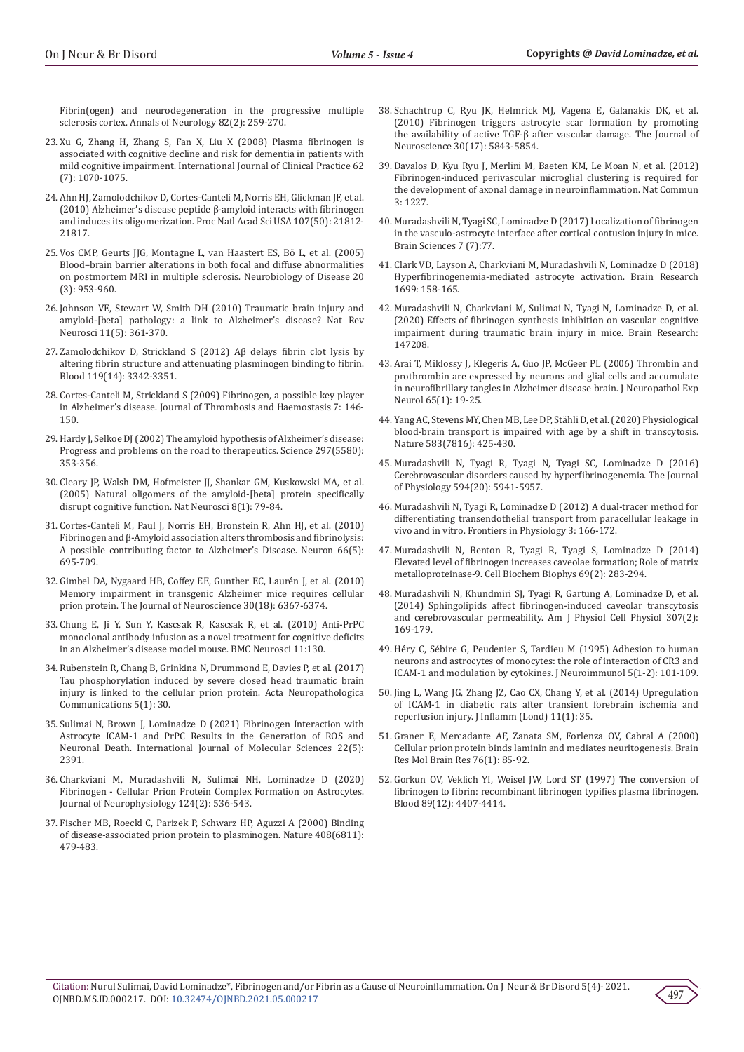[Fibrin\(ogen\) and neurodegeneration in the progressive multiple](https://pubmed.ncbi.nlm.nih.gov/28719020/)  [sclerosis cortex. Annals of Neurology 82\(2\): 259-270.](https://pubmed.ncbi.nlm.nih.gov/28719020/)

- 23. Xu G, Zhang H, Zhang S, Fan X, Liu X (2008) Plasma fibrinogen is associated with cognitive decline and risk for dementia in patients with mild cognitive impairment. International Journal of Clinical Practice 62 (7): 1070-1075.
- 24. [Ahn HJ, Zamolodchikov D, Cortes-Canteli M, Norris EH, Glickman JF, et al.](https://pubmed.ncbi.nlm.nih.gov/21098282/)  [\(2010\) Alzheimer's disease peptide β-amyloid interacts with fibrinogen](https://pubmed.ncbi.nlm.nih.gov/21098282/)  [and induces its oligomerization. Proc Natl Acad Sci USA 107\(50\): 21812-](https://pubmed.ncbi.nlm.nih.gov/21098282/) [21817.](https://pubmed.ncbi.nlm.nih.gov/21098282/)
- 25. Vos CMP, Geurts JJG, Montagne L, van Haastert ES, Bö L, et al. (2005) Blood–brain barrier alterations in both focal and diffuse abnormalities on postmortem MRI in multiple sclerosis. Neurobiology of Disease 20 (3): 953-960.
- 26. Johnson VE, Stewart W, Smith DH (2010) Traumatic brain injury and amyloid-[beta] pathology: a link to Alzheimer's disease? Nat Rev Neurosci 11(5): 361-370.
- 27. Zamolodchikov D, Strickland S (2012) Aβ delays fibrin clot lysis by altering fibrin structure and attenuating plasminogen binding to fibrin. Blood 119(14): 3342-3351.
- 28. Cortes-Canteli M, Strickland S (2009) Fibrinogen, a possible key player in Alzheimer's disease. Journal of Thrombosis and Haemostasis 7: 146- 150.
- 29. [Hardy J, Selkoe DJ \(2002\) The amyloid hypothesis of Alzheimer's disease:](https://pubmed.ncbi.nlm.nih.gov/12130773/)  [Progress and problems on the road to therapeutics. Science 297\(5580\):](https://pubmed.ncbi.nlm.nih.gov/12130773/)  [353-356.](https://pubmed.ncbi.nlm.nih.gov/12130773/)
- 30. [Cleary JP, Walsh DM, Hofmeister JJ, Shankar GM, Kuskowski MA, et al.](https://pubmed.ncbi.nlm.nih.gov/15608634/)  [\(2005\) Natural oligomers of the amyloid-\[beta\] protein specifically](https://pubmed.ncbi.nlm.nih.gov/15608634/)  [disrupt cognitive function. Nat Neurosci 8\(1\): 79-84.](https://pubmed.ncbi.nlm.nih.gov/15608634/)
- 31. Cortes-Canteli M, Paul J, Norris EH, Bronstein R, Ahn HJ, et al. (2010) Fibrinogen and β-Amyloid association alters thrombosis and fibrinolysis: A possible contributing factor to Alzheimer's Disease. Neuron 66(5): 695-709.
- 32. Gimbel DA, Nygaard HB, Coffey EE, Gunther EC, Laurén J, et al. (2010) Memory impairment in transgenic Alzheimer mice requires cellular prion protein. The Journal of Neuroscience 30(18): 6367-6374.
- 33. Chung E, Ji Y, Sun Y, Kascsak R, Kascsak R, et al. (2010) Anti-PrPC monoclonal antibody infusion as a novel treatment for cognitive deficits in an Alzheimer's disease model mouse. BMC Neurosci 11:130.
- 34. [Rubenstein R, Chang B, Grinkina N, Drummond E, Davies P, et al. \(2017\)](https://pubmed.ncbi.nlm.nih.gov/28420443/)  [Tau phosphorylation induced by severe closed head traumatic brain](https://pubmed.ncbi.nlm.nih.gov/28420443/)  [injury is linked to the cellular prion protein. Acta Neuropathologica](https://pubmed.ncbi.nlm.nih.gov/28420443/)  [Communications 5\(1\): 30.](https://pubmed.ncbi.nlm.nih.gov/28420443/)
- 35. [Sulimai N, Brown J, Lominadze D \(2021\) Fibrinogen Interaction with](https://pubmed.ncbi.nlm.nih.gov/33673626/)  [Astrocyte ICAM-1 and PrPC Results in the Generation of ROS and](https://pubmed.ncbi.nlm.nih.gov/33673626/)  [Neuronal Death. International Journal of Molecular Sciences 22\(5\):](https://pubmed.ncbi.nlm.nih.gov/33673626/)  [2391.](https://pubmed.ncbi.nlm.nih.gov/33673626/)
- 36. [Charkviani M, Muradashvili N, Sulimai NH, Lominadze D \(2020\)](https://pubmed.ncbi.nlm.nih.gov/32697670/)  [Fibrinogen - Cellular Prion Protein Complex Formation on Astrocytes.](https://pubmed.ncbi.nlm.nih.gov/32697670/)  [Journal of Neurophysiology 124\(2\): 536-543.](https://pubmed.ncbi.nlm.nih.gov/32697670/)
- 37. Fischer MB, Roeckl C, Parizek P, Schwarz HP, Aguzzi A (2000) Binding of disease-associated prion protein to plasminogen. Nature 408(6811): 479-483.
- 38. [Schachtrup C, Ryu JK, Helmrick MJ, Vagena E, Galanakis DK, et al.](https://pubmed.ncbi.nlm.nih.gov/20427645/) [\(2010\) Fibrinogen triggers astrocyte scar formation by promoting](https://pubmed.ncbi.nlm.nih.gov/20427645/) [the availability of active TGF-β after vascular damage. The Journal of](https://pubmed.ncbi.nlm.nih.gov/20427645/) [Neuroscience 30\(17\): 5843-5854.](https://pubmed.ncbi.nlm.nih.gov/20427645/)
- 39. [Davalos D, Kyu Ryu J, Merlini M, Baeten KM, Le Moan N, et al. \(2012\)](https://neurograd.ucsf.edu/publications/fibrinogen-induced-perivascular-microglial-clustering-required-development-axonal) [Fibrinogen-induced perivascular microglial clustering is required for](https://neurograd.ucsf.edu/publications/fibrinogen-induced-perivascular-microglial-clustering-required-development-axonal) [the development of axonal damage in neuroinflammation. Nat Commun](https://neurograd.ucsf.edu/publications/fibrinogen-induced-perivascular-microglial-clustering-required-development-axonal) [3: 1227.](https://neurograd.ucsf.edu/publications/fibrinogen-induced-perivascular-microglial-clustering-required-development-axonal)
- 40. Muradashvili N, Tyagi SC, Lominadze D (2017) Localization of fibrinogen in the vasculo-astrocyte interface after cortical contusion injury in mice. Brain Sciences 7 (7):77.
- 41. [Clark VD, Layson A, Charkviani M, Muradashvili N, Lominadze D \(2018\)](https://pubmed.ncbi.nlm.nih.gov/30153459/) [Hyperfibrinogenemia-mediated astrocyte activation. Brain Research](https://pubmed.ncbi.nlm.nih.gov/30153459/) [1699: 158-165.](https://pubmed.ncbi.nlm.nih.gov/30153459/)
- 42. Muradashvili N, Charkviani M, Sulimai N, Tyagi N, Lominadze D, et al. (2020) Effects of fibrinogen synthesis inhibition on vascular cognitive impairment during traumatic brain injury in mice. Brain Research: 147208.
- 43. Arai T, Miklossy J, Klegeris A, Guo JP, McGeer PL (2006) Thrombin and prothrombin are expressed by neurons and glial cells and accumulate in neurofibrillary tangles in Alzheimer disease brain. J Neuropathol Exp Neurol 65(1): 19-25.
- 44. [Yang AC, Stevens MY, Chen MB, Lee DP, Stähli D, et al. \(2020\) Physiological](https://pubmed.ncbi.nlm.nih.gov/32612231/) [blood-brain transport is impaired with age by a shift in transcytosis.](https://pubmed.ncbi.nlm.nih.gov/32612231/) [Nature 583\(7816\): 425-430.](https://pubmed.ncbi.nlm.nih.gov/32612231/)
- 45. [Muradashvili N, Tyagi R, Tyagi N, Tyagi SC, Lominadze D \(2016\)](https://pubmed.ncbi.nlm.nih.gov/27121987/) [Cerebrovascular disorders caused by hyperfibrinogenemia. The Journal](https://pubmed.ncbi.nlm.nih.gov/27121987/) [of Physiology 594\(20\): 5941-5957.](https://pubmed.ncbi.nlm.nih.gov/27121987/)
- 46. [Muradashvili N, Tyagi R, Lominadze D \(2012\) A dual-tracer method for](https://pubmed.ncbi.nlm.nih.gov/22754530/) [differentiating transendothelial transport from paracellular leakage in](https://pubmed.ncbi.nlm.nih.gov/22754530/) [vivo and in vitro. Frontiers in Physiology 3: 166-172.](https://pubmed.ncbi.nlm.nih.gov/22754530/)
- 47. Muradashvili N, Benton R, Tyagi R, Tyagi S, Lominadze D (2014) Elevated level of fibrinogen increases caveolae formation; Role of matrix metalloproteinase-9. Cell Biochem Biophys 69(2): 283-294.
- 48. [Muradashvili N, Khundmiri SJ, Tyagi R, Gartung A, Lominadze D, et al.](https://pubmed.ncbi.nlm.nih.gov/24829496/) [\(2014\) Sphingolipids affect fibrinogen-induced caveolar transcytosis](https://pubmed.ncbi.nlm.nih.gov/24829496/) [and cerebrovascular permeability. Am J Physiol Cell Physiol 307\(2\):](https://pubmed.ncbi.nlm.nih.gov/24829496/) [169-179.](https://pubmed.ncbi.nlm.nih.gov/24829496/)
- 49. [Héry C, Sébire G, Peudenier S, Tardieu M \(1995\) Adhesion to human](https://pubmed.ncbi.nlm.nih.gov/7706427/) [neurons and astrocytes of monocytes: the role of interaction of CR3 and](https://pubmed.ncbi.nlm.nih.gov/7706427/) [ICAM-1 and modulation by cytokines. J Neuroimmunol 5\(1-2\): 101-109.](https://pubmed.ncbi.nlm.nih.gov/7706427/)
- 50. [Jing L, Wang JG, Zhang JZ, Cao CX, Chang Y, et al. \(2014\) Upregulation](https://pubmed.ncbi.nlm.nih.gov/25389378/) [of ICAM-1 in diabetic rats after transient forebrain ischemia and](https://pubmed.ncbi.nlm.nih.gov/25389378/) [reperfusion injury. J Inflamm \(Lond\) 11\(1\): 35.](https://pubmed.ncbi.nlm.nih.gov/25389378/)
- 51. Graner E, Mercadante AF, Zanata SM, Forlenza OV, Cabral A (2000) Cellular prion protein binds laminin and mediates neuritogenesis. Brain Res Mol Brain Res 76(1): 85-92.
- 52. [Gorkun OV, Veklich YI, Weisel JW, Lord ST \(1997\) The conversion of](https://pubmed.ncbi.nlm.nih.gov/9192765/) [fibrinogen to fibrin: recombinant fibrinogen typifies plasma fibrinogen.](https://pubmed.ncbi.nlm.nih.gov/9192765/) [Blood 89\(12\): 4407-4414.](https://pubmed.ncbi.nlm.nih.gov/9192765/)